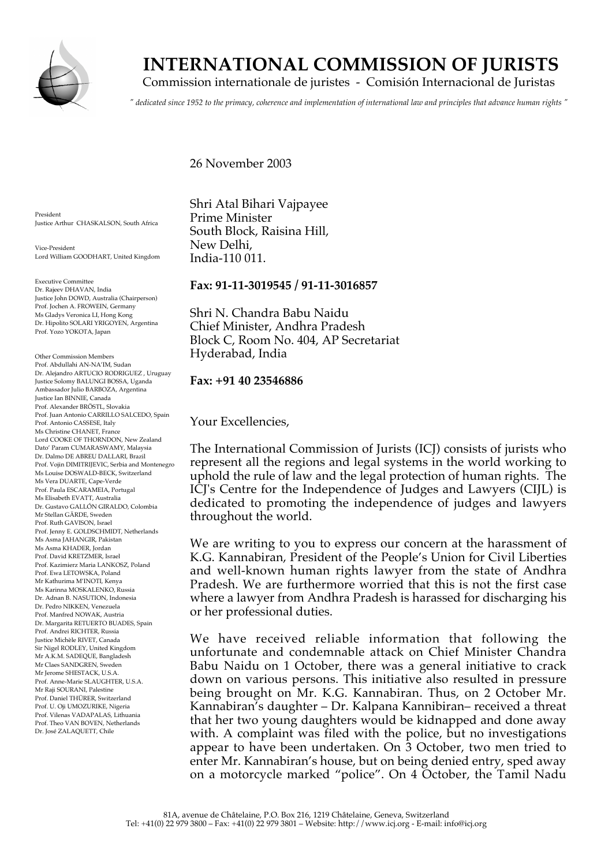

# **INTERNATIONAL COMMISSION OF JURISTS**

Commission internationale de juristes - Comisión Internacional de Juristas

*" dedicated since 1952 to the primacy, coherence and implementation of international law and principles that advance human rights "*

26 November 2003

President Justice Arthur CHASKALSON, South Africa

Vice-President Lord William GOODHART, United Kingdom

Executive Committee Dr. Rajeev DHAVAN, India Justice John DOWD, Australia (Chairperson) Prof. Jochen A. FROWEIN, Germany Ms Gladys Veronica LI, Hong Kong Dr. Hipolito SOLARI YRIGOYEN, Argentina Prof. Yozo YOKOTA, Japan

Other Commission Members Prof. Abdullahi AN-NA'IM, Sudan Dr. Alejandro ARTUCIO RODRIGUEZ , Uruguay Justice Solomy BALUNGI BOSSA, Uganda Ambassador Julio BARBOZA, Argentina Justice Ian BINNIE, Canada Prof. Alexander BRÖSTL, Slovakia Prof. Juan Antonio CARRILLO SALCEDO, Spain Prof. Antonio CASSESE, Italy Ms Christine CHANET, France Lord COOKE OF THORNDON, New Zealand Dato' Param CUMARASWAMY, Malaysia Dr. Dalmo DE ABREU DALLARI, Brazil Prof. Vojin DIMITRIJEVIC, Serbia and Montenegro Ms Louise DOSWALD-BECK, Switzerland Ms Vera DUARTE, Cape-Verde Prof. Paula ESCARAMEIA, Portugal Ms Elisabeth EVATT, Australia Dr. Gustavo GALLÓN GIRALDO, Colombia Mr Stellan GÄRDE, Sweden Prof. Ruth GAVISON, Israel Prof. Jenny E. GOLDSCHMIDT, Netherlands Ms Asma JAHANGIR, Pakistan Ms Asma KHADER, Jordan Prof. David KRETZMER, Israel Prof. Kazimierz Maria LANKOSZ, Poland Prof. Ewa LETOWSKA, Poland Mr Kathurima M'INOTI, Kenya Ms Karinna MOSKALENKO, Russia Dr. Adnan B. NASUTION, Indonesia Dr. Pedro NIKKEN, Venezuela Prof. Manfred NOWAK, Austria Dr. Margarita RETUERTO BUADES, Spain Prof. Andrei RICHTER, Russia Justice Michèle RIVET, Canada Sir Nigel RODLEY, United Kingdom Mr A.K.M. SADEQUE, Bangladesh Mr Claes SANDGREN, Sweden Mr Jerome SHESTACK, U.S.A. Prof. Anne-Marie SLAUGHTER, U.S.A. Mr Raji SOURANI, Palestine Prof. Daniel THÜRER, Switzerland Prof. U. Oji UMOZURIKE, Nigeria Prof. Vilenas VADAPALAS, Lithuania Prof. Theo VAN BOVEN, Netherlands Dr. José ZALAQUETT, Chile

Shri Atal Bihari Vajpayee Prime Minister South Block, Raisina Hill, New Delhi, India-110 011.

## **Fax: 91-11-3019545 / 91-11-3016857**

Shri N. Chandra Babu Naidu !!!! Chief Minister, Andhra Pradesh Block C, Room No. 404, AP Secretariat Hyderabad, India

## **Fax: +91 40 23546886**

Your Excellencies,

The International Commission of Jurists (ICJ) consists of jurists who represent all the regions and legal systems in the world working to uphold the rule of law and the legal protection of human rights. The ICJ's Centre for the Independence of Judges and Lawyers (CIJL) is dedicated to promoting the independence of judges and lawyers throughout the world.

We are writing to you to express our concern at the harassment of K.G. Kannabiran, President of the People's Union for Civil Liberties and well-known human rights lawyer from the state of Andhra Pradesh. We are furthermore worried that this is not the first case where a lawyer from Andhra Pradesh is harassed for discharging his or her professional duties.

We have received reliable information that following the unfortunate and condemnable attack on Chief Minister Chandra Babu Naidu on 1 October, there was a general initiative to crack down on various persons. This initiative also resulted in pressure being brought on Mr. K.G. Kannabiran. Thus, on 2 October Mr. Kannabiran's daughter – Dr. Kalpana Kannibiran– received a threat that her two young daughters would be kidnapped and done away with. A complaint was filed with the police, but no investigations appear to have been undertaken. On 3 October, two men tried to enter Mr. Kannabiran's house, but on being denied entry, sped away on a motorcycle marked "police". On 4 October, the Tamil Nadu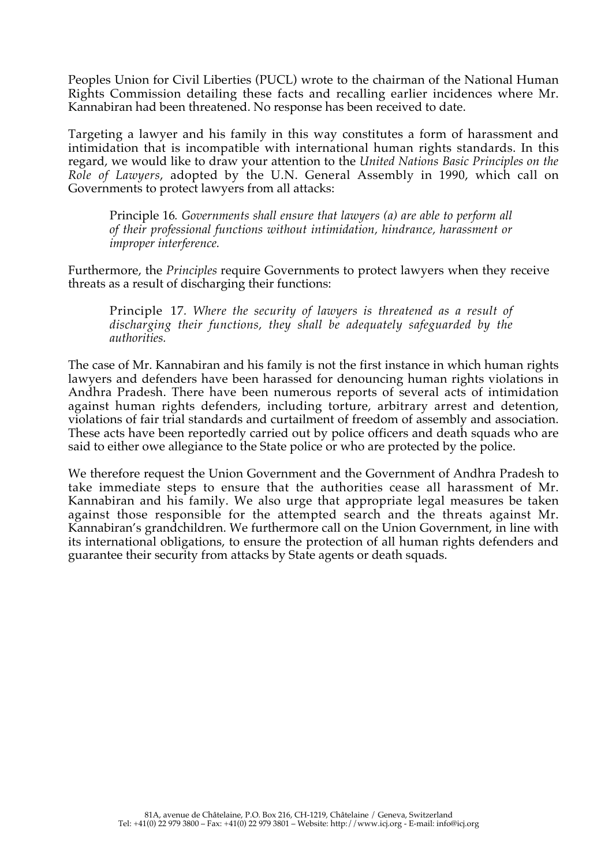Peoples Union for Civil Liberties (PUCL) wrote to the chairman of the National Human Rights Commission detailing these facts and recalling earlier incidences where Mr. Kannabiran had been threatened. No response has been received to date.

Targeting a lawyer and his family in this way constitutes a form of harassment and intimidation that is incompatible with international human rights standards. In this regard, we would like to draw your attention to the *United Nations Basic Principles on the Role of Lawyers*, adopted by the U.N. General Assembly in 1990, which call on Governments to protect lawyers from all attacks:

Principle 16*. Governments shall ensure that lawyers (a) are able to perform all of their professional functions without intimidation, hindrance, harassment or improper interference.*

Furthermore, the *Principles* require Governments to protect lawyers when they receive threats as a result of discharging their functions:

Principle 17*. Where the security of lawyers is threatened as a result of discharging their functions, they shall be adequately safeguarded by the authorities.*

The case of Mr. Kannabiran and his family is not the first instance in which human rights lawyers and defenders have been harassed for denouncing human rights violations in Andhra Pradesh. There have been numerous reports of several acts of intimidation against human rights defenders, including torture, arbitrary arrest and detention, violations of fair trial standards and curtailment of freedom of assembly and association. These acts have been reportedly carried out by police officers and death squads who are said to either owe allegiance to the State police or who are protected by the police.

We therefore request the Union Government and the Government of Andhra Pradesh to take immediate steps to ensure that the authorities cease all harassment of Mr. Kannabiran and his family. We also urge that appropriate legal measures be taken against those responsible for the attempted search and the threats against Mr. Kannabiran's grandchildren. We furthermore call on the Union Government, in line with its international obligations, to ensure the protection of all human rights defenders and guarantee their security from attacks by State agents or death squads.